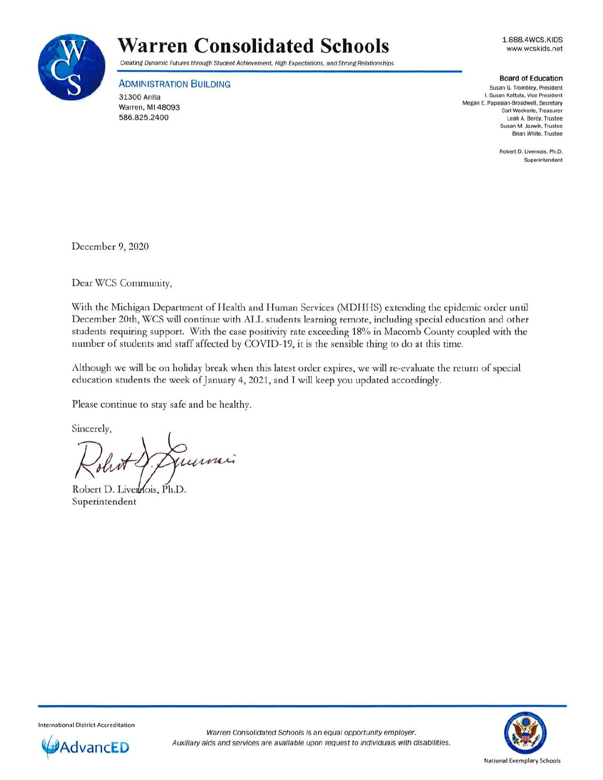

## **Warren Consolidated Schools**

Creating Dynamic Futures through Student Achievement, High Expectations. and Strong Relationships

**ADMINISTRATION BUILDING** 

31300 Anita Warren, Ml 48093 586.825.2400

1.888.4WCS.KIDS www.wcskids.net

## **Board of Education**

**Susan G. Trombley. President I. Susan Kattula. Vice President**  Megan E. Papasian-Broadwell. Secretary **Carl Weckerle, Treasurer**  Leah A. Berdy, Trustee **Susan M. Jozwik. Trustee Brian White, Trustee** 

> Robert D. Livernois. Ph.D. **Superintendent**

December 9, 2020

Dear WCS Community,

With the Michigan Department of Health and Human Services (MDHHS) extending the epidemic order until December 20th, WCS will continue with ALL students learning remote, including special education and other students requiring support. With the case positivity rate exceeding 18% in Macomb County coupled with the number of students and staff affected by COVID-19, it is the sensible thing to do at this time.

Although we will be on holiday break when this latest order expires, we will re-evaluate the return of special education students the week of January 4, 2021, and I will keep you updated accordingly.

Please continue to stay safe and be healthy.

Sincerely,

numi

Robert D. Livernois, Ph.D. Superintendent



International District Accreditation